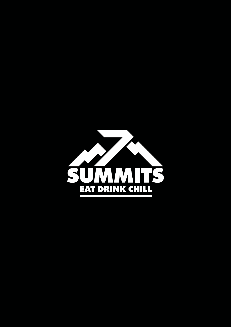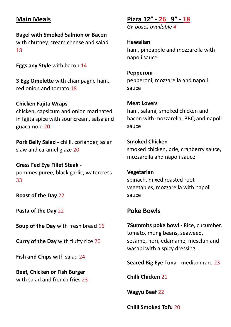# **Main Meals**

**Bagel with Smoked Salmon or Bacon** with chutney, cream cheese and salad 18

**Eggs any Style** with bacon 14

**3 Egg Omelette** with champagne ham, red onion and tomato 18

**Chicken Fajita Wraps** chicken, capsicum and onion marinated in fajita spice with sour cream, salsa and guacamole 20

**Pork Belly Salad -** chilli, coriander, asian slaw and caramel glaze 20

**Grass Fed Eye Fillet Steak**  pommes puree, black garlic, watercress 33

**Roast of the Day** 22

**Pasta of the Day** 22

**Soup of the Day** with fresh bread 16

**Curry of the Day** with fluffy rice 20

**Fish and Chips** with salad 24

**Beef, Chicken or Fish Burger** with salad and french fries 23

## **Pizza 12" - 26 9" - 18**

*GF bases available 4*

**Hawaiian** ham, pineapple and mozzarella with napoli sauce

**Pepperoni** pepperoni, mozzarella and napoli sauce

#### **Meat Lovers**

ham, salami, smoked chicken and bacon with mozzarella, BBQ and napoli sauce

**Smoked Chicken** smoked chicken, brie, cranberry sauce, mozzarella and napoli sauce

**Vegetarian** spinach, mixed roasted root vegetables, mozzarella with napoli sauce

# **Poke Bowls**

**7Summits poke bowl -** Rice, cucumber, tomato, mung beans, seaweed, sesame, nori, edamame, mesclun and wasabi with a spicy dressing

**Seared Big Eye Tuna** - medium rare 23

**Chilli Chicken** 21

**Wagyu Beef** 22

**Chilli Smoked Tofu** 20